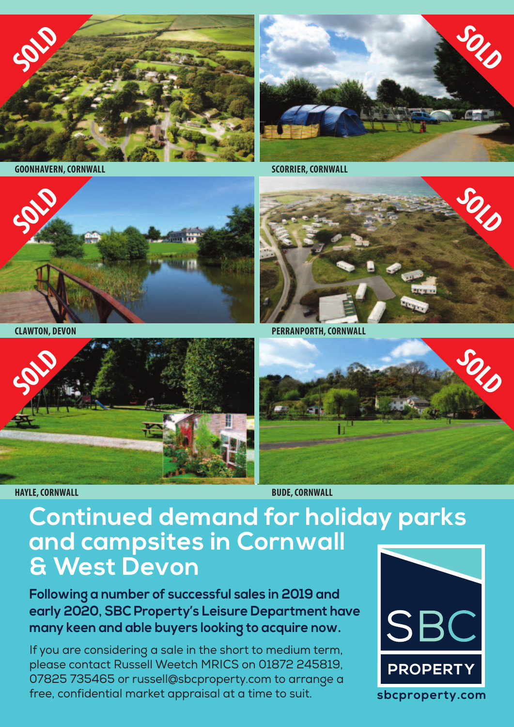

**GOONHAVERN,CORNWALL SCORRIER,CORNWALL**







**HAYLE,CORNWALL BUDE,CORNWALL**

**SOLD**

**CLAWTON, DEVON PERRANPORTH,CORNWALL**



## **Continued demand for holiday parks and campsites in Cornwall & West Devon**

**Following a number of successful sales in 2019 and early 2020, SBC Property's Leisure Department have many keen and able buyers looking to acquire now.**

If you are considering a sale in the short to medium term, please contact Russell Weetch MRICS on 01872 245819, 07825 735465 or russell@sbcproperty.com to arrange a free, confidential market appraisal at a time to suit.